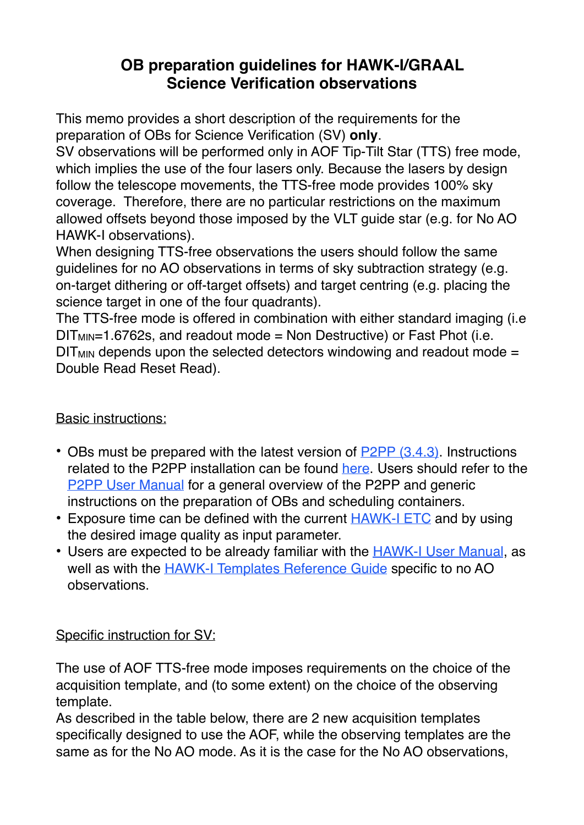## **OB preparation guidelines for HAWK-I/GRAAL Science Verification observations**

This memo provides a short description of the requirements for the preparation of OBs for Science Verification (SV) **only**.

SV observations will be performed only in AOF Tip-Tilt Star (TTS) free mode, which implies the use of the four lasers only. Because the lasers by design follow the telescope movements, the TTS-free mode provides 100% sky coverage. Therefore, there are no particular restrictions on the maximum allowed offsets beyond those imposed by the VLT guide star (e.g. for No AO HAWK-I observations).

When designing TTS-free observations the users should follow the same guidelines for no AO observations in terms of sky subtraction strategy (e.g. on-target dithering or off-target offsets) and target centring (e.g. placing the science target in one of the four quadrants).

The TTS-free mode is offered in combination with either standard imaging (i.e  $DIT_{MIN}=1.6762s$ , and readout mode = Non Destructive) or Fast Phot (i.e.  $DIT_{MIN}$  depends upon the selected detectors windowing and readout mode = Double Read Reset Read).

## Basic instructions:

- OBs must be prepared with the latest version of [P2PP \(3.4.3\)](http://www.eso.org/sci/observing/phase2/P2PP3/P2PP3Download.HAWKI.html). Instructions related to the P2PP installation can be found [here.](http://www.eso.org/sci/observing/phase2/P2PP3/P2PP3Install.HAWKI.html) Users should refer to the [P2PP User Manual](http://www.eso.org/sci/observing/phase2/MANUAL/p2ppman_v8.pdf) for a general overview of the P2PP and generic instructions on the preparation of OBs and scheduling containers.
- Exposure time can be defined with the current **[HAWK-I ETC](http://www.eso.org/observing/etc/bin/gen/form?INS.NAME=HAWK-I+INS.MODE=imaging)** and by using the desired image quality as input parameter.
- Users are expected to be already familiar with the **[HAWK-I User Manual](http://www.eso.org/sci/facilities/paranal/instruments/hawki/doc/VLT-MAN-ESO-14800-3486_P100.pdf)**, as well as with the **[HAWK-I Templates Reference Guide](http://www.eso.org/sci/facilities/paranal/instruments/hawki/doc/VLT-MAN-ESO-14800-4076_P100.pdf)** specific to no AO observations.

## Specific instruction for SV:

The use of AOF TTS-free mode imposes requirements on the choice of the acquisition template, and (to some extent) on the choice of the observing template.

As described in the table below, there are 2 new acquisition templates specifically designed to use the AOF, while the observing templates are the same as for the No AO mode. As it is the case for the No AO observations,